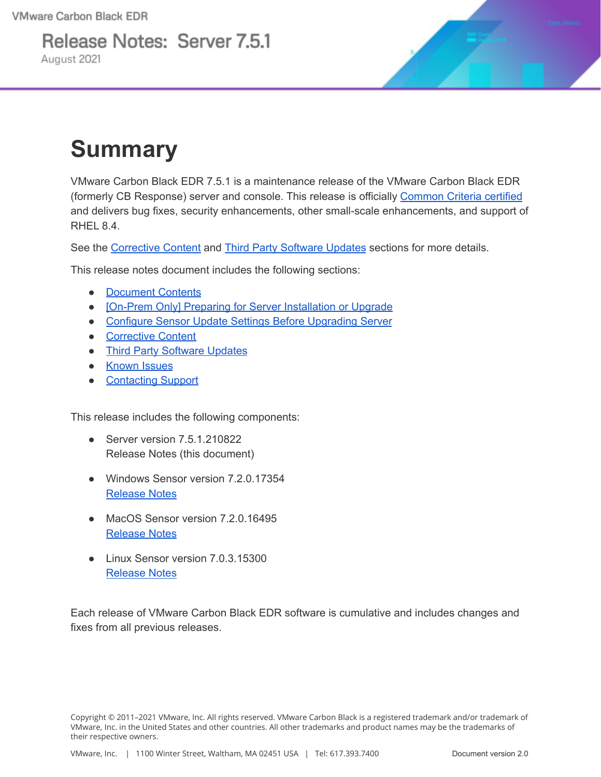Release Notes: Server 7.5.1 August 2021



## **Summary**

VMware Carbon Black EDR 7.5.1 is a maintenance release of the VMware Carbon Black EDR (formerly CB Response) server and console. This release is officially [Common Criteria certified](https://www.niap-ccevs.org/Product/Compliant.cfm?PID=11156) and delivers bug fixes, security enhancements, other small-scale enhancements, and support of RHEL 8.4.

See the [Corrective Content](#page-5-0) and [Third Party Software Updates](#page-9-0) sections for more details.

This release notes document includes the following sections:

- [Document Contents](#page-1-0)
- [\[On-Prem Only\] Preparing for Server Installation or Upgrade](#page-2-0)
- [Configure Sensor Update Settings Before Upgrading Server](#page-5-1)
- [Corrective Content](#page-5-0)
- [Third Party Software Updates](#page-9-0)
- [Known Issues](#page-9-1)
- [Contacting Support](#page-12-0)

This release includes the following components:

- Server version 7.5.1.210822 Release Notes (this document)
- Windows Sensor version 7.2.0.17354 [Release Notes](https://docs.vmware.com/en/VMware-Carbon-Black-EDR/7.2.0/VMware%20Carbon%20Black%20EDR%20Windows%20Sensor%207.2.0%20Release%20Notes.pdf)
- MacOS Sensor version 7.2.0.16495 [Release Notes](https://docs.vmware.com/en/VMware-Carbon-Black-EDR/7.2.0/VMware%20Carbon%20Black%20EDR%20macOS%20Sensor%207.2.0%20Release%20Notes.pdf)
- Linux Sensor version 7.0.3.15300 [Release Notes](https://docs.vmware.com/en/VMware-Carbon-Black-EDR/7.0.3/VMware%20Carbon%20Black%20EDR%20Linux%20Sensor%207.0.3%20Release%20Notes.pdf)

Each release of VMware Carbon Black EDR software is cumulative and includes changes and fixes from all previous releases.

Copyright © 2011–2021 VMware, Inc. All rights reserved. VMware Carbon Black is a registered trademark and/or trademark of VMware, Inc. in the United States and other countries. All other trademarks and product names may be the trademarks of their respective owners.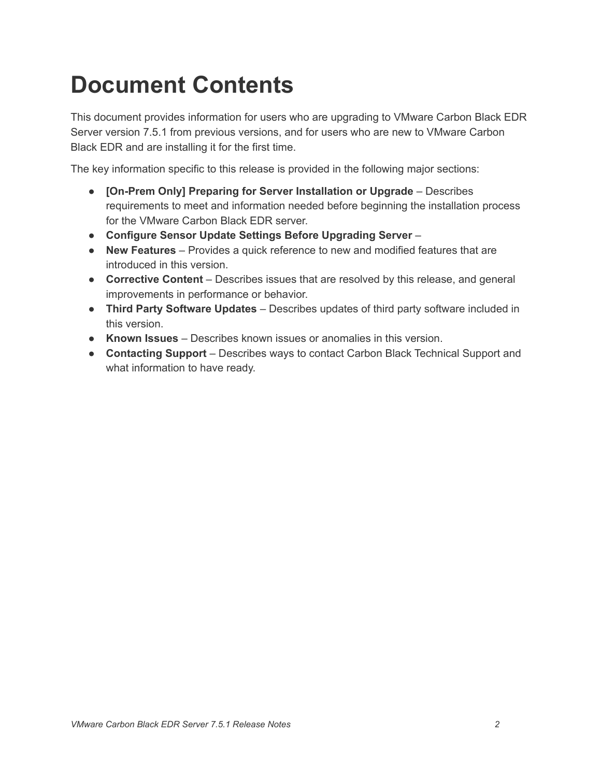## <span id="page-1-0"></span>**Document Contents**

This document provides information for users who are upgrading to VMware Carbon Black EDR Server version 7.5.1 from previous versions, and for users who are new to VMware Carbon Black EDR and are installing it for the first time.

The key information specific to this release is provided in the following major sections:

- **[On-Prem Only] Preparing for Server Installation or Upgrade** Describes requirements to meet and information needed before beginning the installation process for the VMware Carbon Black EDR server.
- **Configure Sensor Update Settings Before Upgrading Server** –
- **New Features** Provides a quick reference to new and modified features that are introduced in this version.
- **Corrective Content** Describes issues that are resolved by this release, and general improvements in performance or behavior.
- **● Third Party Software Updates** Describes updates of third party software included in this version.
- **Known Issues** Describes known issues or anomalies in this version.
- **Contacting Support** Describes ways to contact Carbon Black Technical Support and what information to have ready.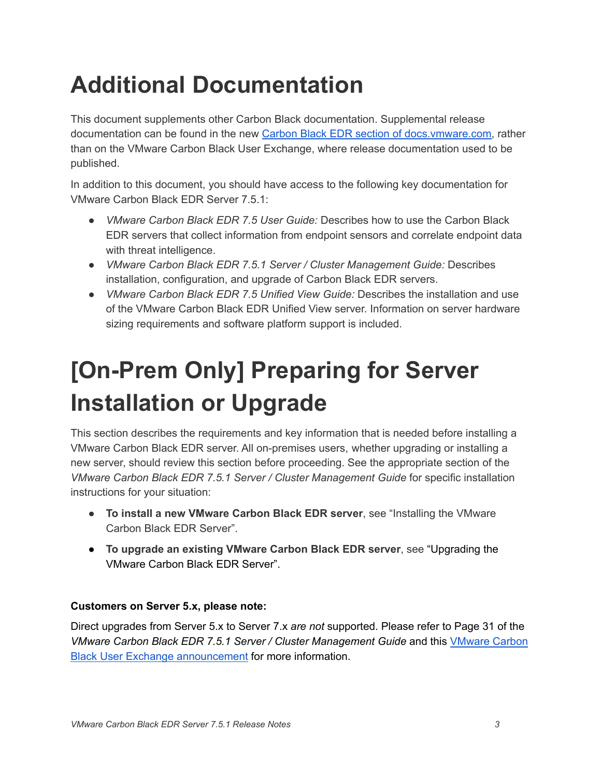# **Additional Documentation**

This document supplements other Carbon Black documentation. Supplemental release documentation can be found in the new Carbon Black EDR section of [docs.vmware.com,](https://docs.vmware.com/en/VMware-Carbon-Black-EDR/index.html) rather than on the VMware Carbon Black User Exchange, where release documentation used to be published.

In addition to this document, you should have access to the following key documentation for VMware Carbon Black EDR Server 7.5.1:

- *VMware Carbon Black EDR 7.5 User Guide:* Describes how to use the Carbon Black EDR servers that collect information from endpoint sensors and correlate endpoint data with threat intelligence.
- *VMware Carbon Black EDR 7.5.1 Server / Cluster Management Guide:* Describes installation, configuration, and upgrade of Carbon Black EDR servers.
- *VMware Carbon Black EDR 7.5 Unified View Guide:* Describes the installation and use of the VMware Carbon Black EDR Unified View server. Information on server hardware sizing requirements and software platform support is included.

# <span id="page-2-0"></span>**[On-Prem Only] Preparing for Server Installation or Upgrade**

This section describes the requirements and key information that is needed before installing a VMware Carbon Black EDR server. All on-premises users, whether upgrading or installing a new server, should review this section before proceeding. See the appropriate section of the *VMware Carbon Black EDR 7.5.1 Server / Cluster Management Guide* for specific installation instructions for your situation:

- **To install a new VMware Carbon Black EDR server**, see "Installing the VMware Carbon Black EDR Server".
- **To upgrade an existing VMware Carbon Black EDR server**, see "Upgrading the VMware Carbon Black EDR Server".

#### **Customers on Server 5.x, please note:**

Direct upgrades from Server 5.x to Server 7.x *are not* supported. Please refer to Page 31 of the *VMware Carbon Black EDR 7.5.1 Server / Cluster Management Guide* and this [VMware](https://community.carbonblack.com/t5/Endpoint-Detection-and-Response/VMware-Carbon-Black-EDR-For-Customers-on-EDR-Server-5-x-Upgrade/m-p/99518#M4858) Carbon Black User Exchange [announcement](https://community.carbonblack.com/t5/Endpoint-Detection-and-Response/VMware-Carbon-Black-EDR-For-Customers-on-EDR-Server-5-x-Upgrade/m-p/99518#M4858) for more information.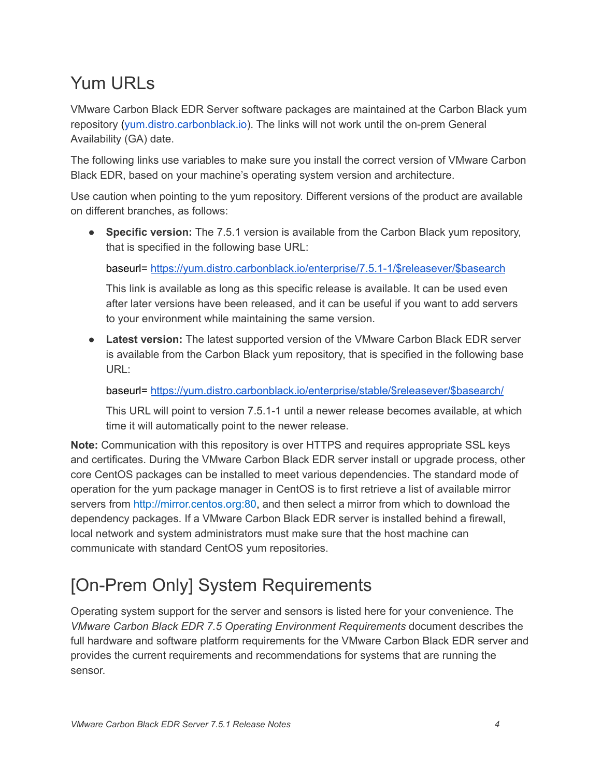### Yum URLs

VMware Carbon Black EDR Server software packages are maintained at the Carbon Black yum repository ([yum.distro.carbonblack.io\)](http://yum.distro.carbonblack.io/). The links will not work until the on-prem General Availability (GA) date.

The following links use variables to make sure you install the correct version of VMware Carbon Black EDR, based on your machine's operating system version and architecture.

Use caution when pointing to the yum repository. Different versions of the product are available on different branches, as follows:

● **Specific version:** The 7.5.1 version is available from the Carbon Black yum repository, that is specified in the following base URL:

baseurl= [https://yum.distro.carbonblack.io/enterprise/7.5.1-1/\\$releasever/\\$basearch](https://yum.distro.carbonblack.io/enterprise/7.5.1-1/$releasever/$basearch)

This link is available as long as this specific release is available. It can be used even after later versions have been released, and it can be useful if you want to add servers to your environment while maintaining the same version.

● **Latest version:** The latest supported version of the VMware Carbon Black EDR server is available from the Carbon Black yum repository, that is specified in the following base URL:

baseurl= [https://yum.distro.carbonblack.io/enterprise/stable/\\$releasever/\\$basearch/](https://yum.distro.carbonblack.io/enterprise/stable/$releasever/$basearch/)

This URL will point to version 7.5.1-1 until a newer release becomes available, at which time it will automatically point to the newer release.

**Note:** Communication with this repository is over HTTPS and requires appropriate SSL keys and certificates. During the VMware Carbon Black EDR server install or upgrade process, other core CentOS packages can be installed to meet various dependencies. The standard mode of operation for the yum package manager in CentOS is to first retrieve a list of available mirror servers from [http://mirror.centos.org:80](http://mirror.centos.org/), and then select a mirror from which to download the dependency packages. If a VMware Carbon Black EDR server is installed behind a firewall, local network and system administrators must make sure that the host machine can communicate with standard CentOS yum repositories.

### [On-Prem Only] System Requirements

Operating system support for the server and sensors is listed here for your convenience. The *VMware Carbon Black EDR 7.5 Operating Environment Requirements* document describes the full hardware and software platform requirements for the VMware Carbon Black EDR server and provides the current requirements and recommendations for systems that are running the sensor.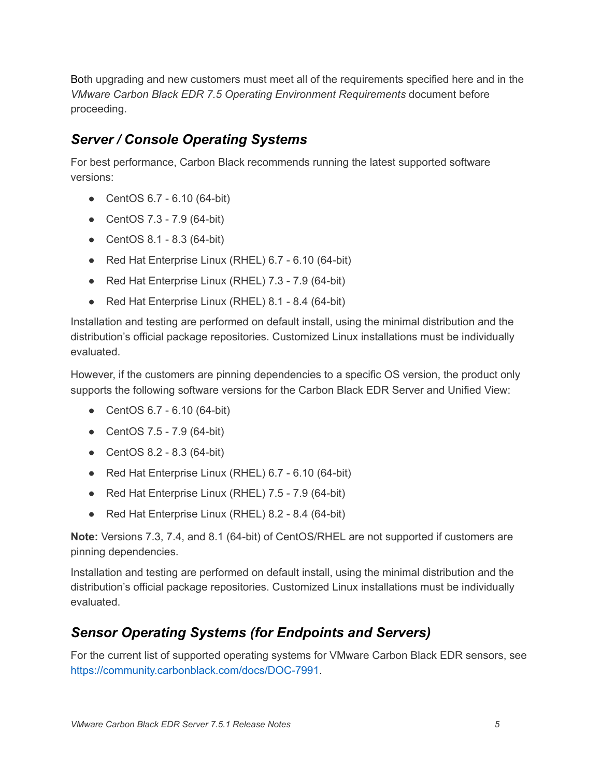Both upgrading and new customers must meet all of the requirements specified here and in the *VMware Carbon Black EDR 7.5 Operating Environment Requirements* document before proceeding.

#### *Server / Console Operating Systems*

For best performance, Carbon Black recommends running the latest supported software versions:

- CentOS 6.7 6.10 (64-bit)
- CentOS 7.3 7.9 (64-bit)
- CentOS 8.1 8.3 (64-bit)
- Red Hat Enterprise Linux (RHEL) 6.7 6.10 (64-bit)
- Red Hat Enterprise Linux (RHEL) 7.3 7.9 (64-bit)
- Red Hat Enterprise Linux (RHEL) 8.1 8.4 (64-bit)

Installation and testing are performed on default install, using the minimal distribution and the distribution's official package repositories. Customized Linux installations must be individually evaluated.

However, if the customers are pinning dependencies to a specific OS version, the product only supports the following software versions for the Carbon Black EDR Server and Unified View:

- CentOS 6.7 6.10 (64-bit)
- CentOS 7.5 7.9 (64-bit)
- CentOS 8.2 8.3 (64-bit)
- Red Hat Enterprise Linux (RHEL) 6.7 6.10 (64-bit)
- Red Hat Enterprise Linux (RHEL) 7.5 7.9 (64-bit)
- Red Hat Enterprise Linux (RHEL) 8.2 8.4 (64-bit)

**Note:** Versions 7.3, 7.4, and 8.1 (64-bit) of CentOS/RHEL are not supported if customers are pinning dependencies.

Installation and testing are performed on default install, using the minimal distribution and the distribution's official package repositories. Customized Linux installations must be individually evaluated.

#### *Sensor Operating Systems (for Endpoints and Servers)*

For the current list of supported operating systems for VMware Carbon Black EDR sensors, see <https://community.carbonblack.com/docs/DOC-7991>.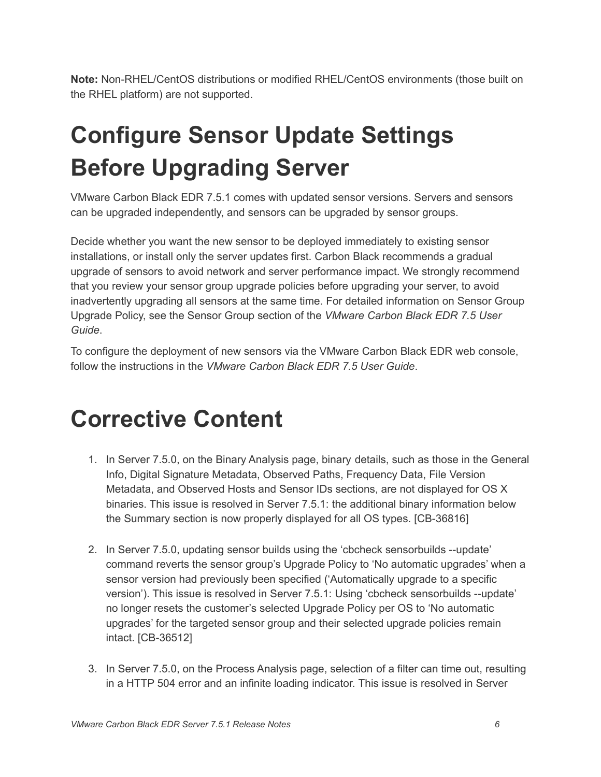**Note:** Non-RHEL/CentOS distributions or modified RHEL/CentOS environments (those built on the RHEL platform) are not supported.

# <span id="page-5-1"></span>**Configure Sensor Update Settings Before Upgrading Server**

VMware Carbon Black EDR 7.5.1 comes with updated sensor versions. Servers and sensors can be upgraded independently, and sensors can be upgraded by sensor groups.

Decide whether you want the new sensor to be deployed immediately to existing sensor installations, or install only the server updates first. Carbon Black recommends a gradual upgrade of sensors to avoid network and server performance impact. We strongly recommend that you review your sensor group upgrade policies before upgrading your server, to avoid inadvertently upgrading all sensors at the same time. For detailed information on Sensor Group Upgrade Policy, see the Sensor Group section of the *VMware Carbon Black EDR 7.5 User Guide*.

To configure the deployment of new sensors via the VMware Carbon Black EDR web console, follow the instructions in the *VMware Carbon Black EDR 7.5 User Guide*.

### <span id="page-5-0"></span>**Corrective Content**

- 1. In Server 7.5.0, on the Binary Analysis page, binary details, such as those in the General Info, Digital Signature Metadata, Observed Paths, Frequency Data, File Version Metadata, and Observed Hosts and Sensor IDs sections, are not displayed for OS X binaries. This issue is resolved in Server 7.5.1: the additional binary information below the Summary section is now properly displayed for all OS types. [CB-36816]
- 2. In Server 7.5.0, updating sensor builds using the 'cbcheck sensorbuilds --update' command reverts the sensor group's Upgrade Policy to 'No automatic upgrades' when a sensor version had previously been specified ('Automatically upgrade to a specific version'). This issue is resolved in Server 7.5.1: Using 'cbcheck sensorbuilds --update' no longer resets the customer's selected Upgrade Policy per OS to 'No automatic upgrades' for the targeted sensor group and their selected upgrade policies remain intact. [CB-36512]
- 3. In Server 7.5.0, on the Process Analysis page, selection of a filter can time out, resulting in a HTTP 504 error and an infinite loading indicator. This issue is resolved in Server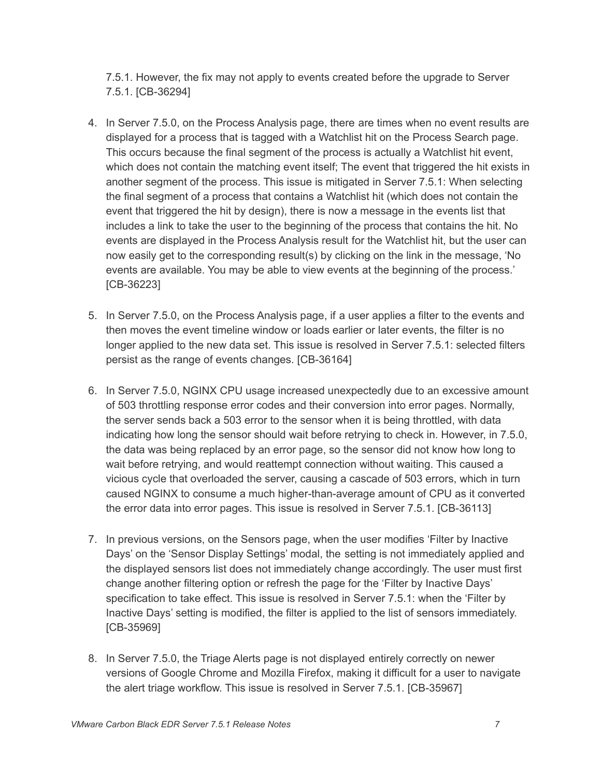7.5.1. However, the fix may not apply to events created before the upgrade to Server 7.5.1. [CB-36294]

- 4. In Server 7.5.0, on the Process Analysis page, there are times when no event results are displayed for a process that is tagged with a Watchlist hit on the Process Search page. This occurs because the final segment of the process is actually a Watchlist hit event, which does not contain the matching event itself; The event that triggered the hit exists in another segment of the process. This issue is mitigated in Server 7.5.1: When selecting the final segment of a process that contains a Watchlist hit (which does not contain the event that triggered the hit by design), there is now a message in the events list that includes a link to take the user to the beginning of the process that contains the hit. No events are displayed in the Process Analysis result for the Watchlist hit, but the user can now easily get to the corresponding result(s) by clicking on the link in the message, 'No events are available. You may be able to view events at the beginning of the process.' [CB-36223]
- 5. In Server 7.5.0, on the Process Analysis page, if a user applies a filter to the events and then moves the event timeline window or loads earlier or later events, the filter is no longer applied to the new data set. This issue is resolved in Server 7.5.1: selected filters persist as the range of events changes. [CB-36164]
- 6. In Server 7.5.0, NGINX CPU usage increased unexpectedly due to an excessive amount of 503 throttling response error codes and their conversion into error pages. Normally, the server sends back a 503 error to the sensor when it is being throttled, with data indicating how long the sensor should wait before retrying to check in. However, in 7.5.0, the data was being replaced by an error page, so the sensor did not know how long to wait before retrying, and would reattempt connection without waiting. This caused a vicious cycle that overloaded the server, causing a cascade of 503 errors, which in turn caused NGINX to consume a much higher-than-average amount of CPU as it converted the error data into error pages. This issue is resolved in Server 7.5.1. [CB-36113]
- 7. In previous versions, on the Sensors page, when the user modifies 'Filter by Inactive Days' on the 'Sensor Display Settings' modal, the setting is not immediately applied and the displayed sensors list does not immediately change accordingly. The user must first change another filtering option or refresh the page for the 'Filter by Inactive Days' specification to take effect. This issue is resolved in Server 7.5.1: when the 'Filter by Inactive Days' setting is modified, the filter is applied to the list of sensors immediately. [CB-35969]
- 8. In Server 7.5.0, the Triage Alerts page is not displayed entirely correctly on newer versions of Google Chrome and Mozilla Firefox, making it difficult for a user to navigate the alert triage workflow. This issue is resolved in Server 7.5.1. [CB-35967]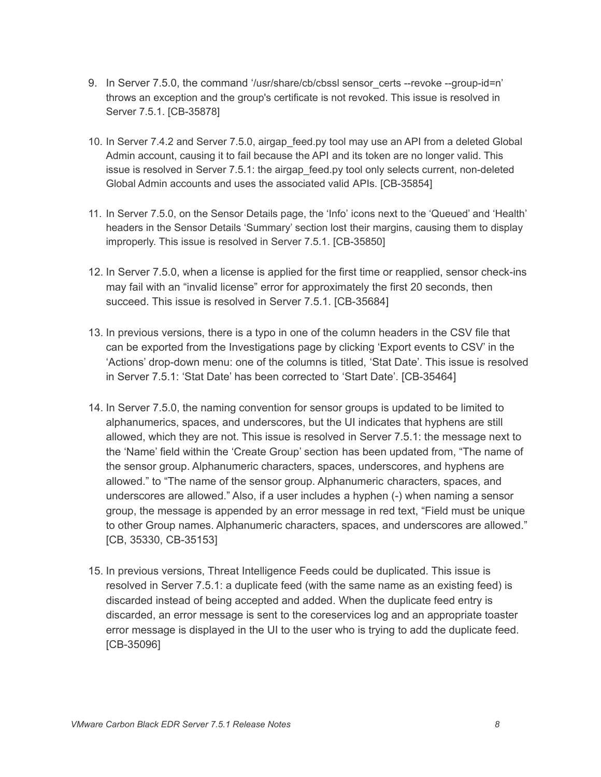- 9. In Server 7.5.0, the command '/usr/share/cb/cbssl sensor\_certs --revoke --group-id=n' throws an exception and the group's certificate is not revoked. This issue is resolved in Server 7.5.1. [CB-35878]
- 10. In Server 7.4.2 and Server 7.5.0, airgap feed.py tool may use an API from a deleted Global Admin account, causing it to fail because the API and its token are no longer valid. This issue is resolved in Server 7.5.1: the airgap\_feed.py tool only selects current, non-deleted Global Admin accounts and uses the associated valid APIs. [CB-35854]
- 11. In Server 7.5.0, on the Sensor Details page, the 'Info' icons next to the 'Queued' and 'Health' headers in the Sensor Details 'Summary' section lost their margins, causing them to display improperly. This issue is resolved in Server 7.5.1. [CB-35850]
- 12. In Server 7.5.0, when a license is applied for the first time or reapplied, sensor check-ins may fail with an "invalid license" error for approximately the first 20 seconds, then succeed. This issue is resolved in Server 7.5.1. [CB-35684]
- 13. In previous versions, there is a typo in one of the column headers in the CSV file that can be exported from the Investigations page by clicking 'Export events to CSV' in the 'Actions' drop-down menu: one of the columns is titled, 'Stat Date'. This issue is resolved in Server 7.5.1: 'Stat Date' has been corrected to 'Start Date'. [CB-35464]
- 14. In Server 7.5.0, the naming convention for sensor groups is updated to be limited to alphanumerics, spaces, and underscores, but the UI indicates that hyphens are still allowed, which they are not. This issue is resolved in Server 7.5.1: the message next to the 'Name' field within the 'Create Group' section has been updated from, "The name of the sensor group. Alphanumeric characters, spaces, underscores, and hyphens are allowed." to "The name of the sensor group. Alphanumeric characters, spaces, and underscores are allowed." Also, if a user includes a hyphen (-) when naming a sensor group, the message is appended by an error message in red text, "Field must be unique to other Group names. Alphanumeric characters, spaces, and underscores are allowed." [CB, 35330, CB-35153]
- 15. In previous versions, Threat Intelligence Feeds could be duplicated. This issue is resolved in Server 7.5.1: a duplicate feed (with the same name as an existing feed) is discarded instead of being accepted and added. When the duplicate feed entry is discarded, an error message is sent to the coreservices log and an appropriate toaster error message is displayed in the UI to the user who is trying to add the duplicate feed. [CB-35096]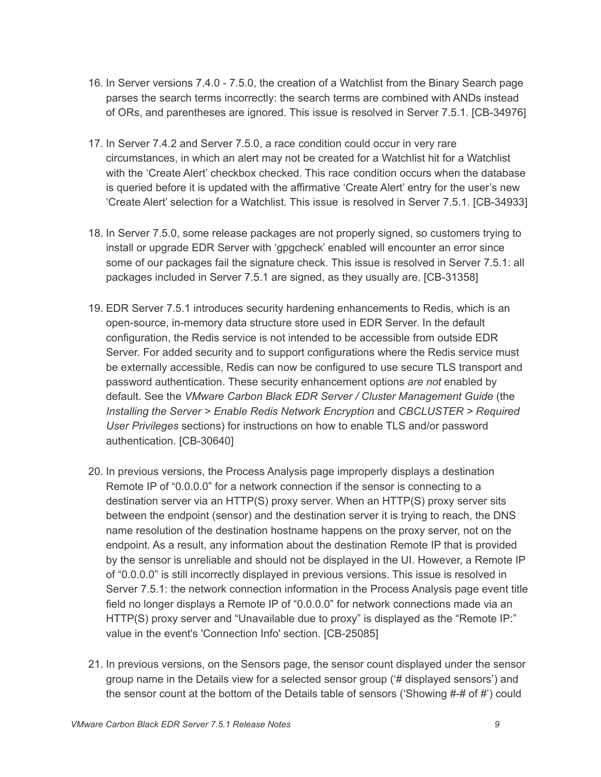- 16. In Server versions 7.4.0 7.5.0, the creation of a Watchlist from the Binary Search page parses the search terms incorrectly: the search terms are combined with ANDs instead of ORs, and parentheses are ignored. This issue is resolved in Server 7.5.1. [CB-34976]
- 17. In Server 7.4.2 and Server 7.5.0, a race condition could occur in very rare circumstances, in which an alert may not be created for a Watchlist hit for a Watchlist with the 'Create Alert' checkbox checked. This race condition occurs when the database is queried before it is updated with the affirmative 'Create Alert' entry for the user's new 'Create Alert' selection for a Watchlist. This issue is resolved in Server 7.5.1. [CB-34933]
- 18. In Server 7.5.0, some release packages are not properly signed, so customers trying to install or upgrade EDR Server with 'gpgcheck' enabled will encounter an error since some of our packages fail the signature check. This issue is resolved in Server 7.5.1: all packages included in Server 7.5.1 are signed, as they usually are. [CB-31358]
- 19. EDR Server 7.5.1 introduces security hardening enhancements to Redis, which is an open-source, in-memory data structure store used in EDR Server. In the default configuration, the Redis service is not intended to be accessible from outside EDR Server. For added security and to support configurations where the Redis service must be externally accessible, Redis can now be configured to use secure TLS transport and password authentication. These security enhancement options *are not* enabled by default. See the *VMware Carbon Black EDR Server / Cluster Management Guide* (the *Installing the Server > Enable Redis Network Encryption* and *CBCLUSTER > Required User Privileges* sections) for instructions on how to enable TLS and/or password authentication. [CB-30640]
- 20. In previous versions, the Process Analysis page improperly displays a destination Remote IP of "0.0.0.0" for a network connection if the sensor is connecting to a destination server via an HTTP(S) proxy server. When an HTTP(S) proxy server sits between the endpoint (sensor) and the destination server it is trying to reach, the DNS name resolution of the destination hostname happens on the proxy server, not on the endpoint. As a result, any information about the destination Remote IP that is provided by the sensor is unreliable and should not be displayed in the UI. However, a Remote IP of "0.0.0.0" is still incorrectly displayed in previous versions. This issue is resolved in Server 7.5.1: the network connection information in the Process Analysis page event title field no longer displays a Remote IP of "0.0.0.0" for network connections made via an HTTP(S) proxy server and "Unavailable due to proxy" is displayed as the "Remote IP:" value in the event's 'Connection Info' section. [CB-25085]
- 21. In previous versions, on the Sensors page, the sensor count displayed under the sensor group name in the Details view for a selected sensor group ('# displayed sensors') and the sensor count at the bottom of the Details table of sensors ('Showing #-# of #') could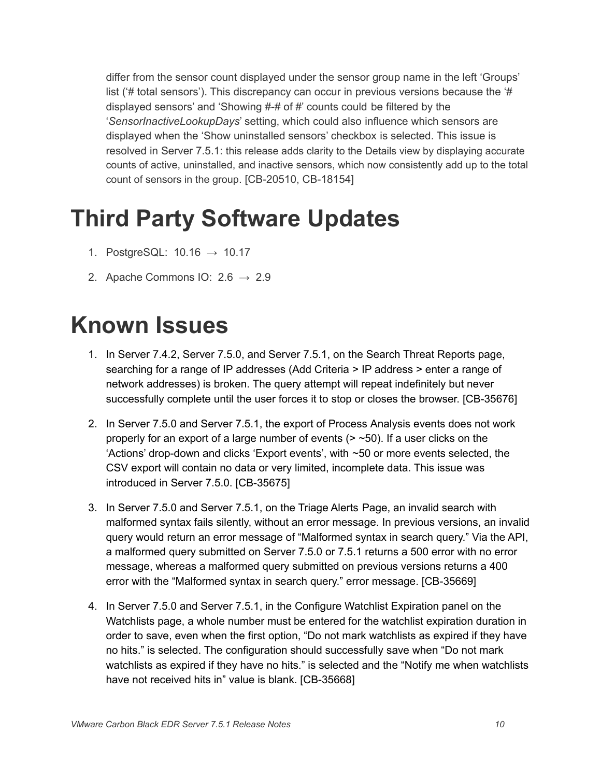differ from the sensor count displayed under the sensor group name in the left 'Groups' list (# total sensors'). This discrepancy can occur in previous versions because the '# displayed sensors' and 'Showing #-# of #' counts could be filtered by the '*SensorInactiveLookupDays*' setting, which could also influence which sensors are displayed when the 'Show uninstalled sensors' checkbox is selected. This issue is resolved in Server 7.5.1: this release adds clarity to the Details view by displaying accurate counts of active, uninstalled, and inactive sensors, which now consistently add up to the total count of sensors in the group. [CB-20510, CB-18154]

## <span id="page-9-0"></span>**Third Party Software Updates**

- 1. PostgreSQL:  $10.16 \rightarrow 10.17$
- 2. Apache Commons IO:  $2.6 \rightarrow 2.9$

## <span id="page-9-1"></span>**Known Issues**

- 1. In Server 7.4.2, Server 7.5.0, and Server 7.5.1, on the Search Threat Reports page, searching for a range of IP addresses (Add Criteria > IP address > enter a range of network addresses) is broken. The query attempt will repeat indefinitely but never successfully complete until the user forces it to stop or closes the browser. [CB-35676]
- 2. In Server 7.5.0 and Server 7.5.1, the export of Process Analysis events does not work properly for an export of a large number of events  $(>$  ~50). If a user clicks on the 'Actions' drop-down and clicks 'Export events', with ~50 or more events selected, the CSV export will contain no data or very limited, incomplete data. This issue was introduced in Server 7.5.0. [CB-35675]
- 3. In Server 7.5.0 and Server 7.5.1, on the Triage Alerts Page, an invalid search with malformed syntax fails silently, without an error message. In previous versions, an invalid query would return an error message of "Malformed syntax in search query." Via the API, a malformed query submitted on Server 7.5.0 or 7.5.1 returns a 500 error with no error message, whereas a malformed query submitted on previous versions returns a 400 error with the "Malformed syntax in search query." error message. [CB-35669]
- 4. In Server 7.5.0 and Server 7.5.1, in the Configure Watchlist Expiration panel on the Watchlists page, a whole number must be entered for the watchlist expiration duration in order to save, even when the first option, "Do not mark watchlists as expired if they have no hits." is selected. The configuration should successfully save when "Do not mark watchlists as expired if they have no hits." is selected and the "Notify me when watchlists have not received hits in" value is blank. [CB-35668]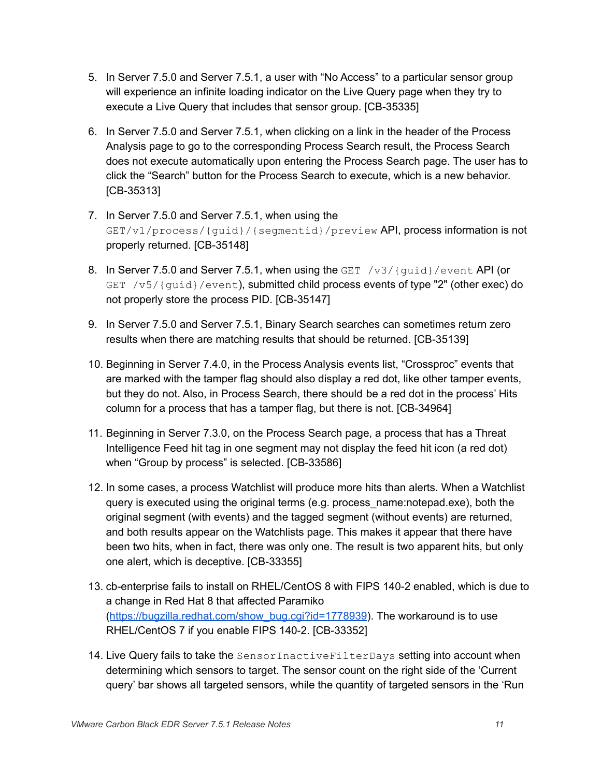- 5. In Server 7.5.0 and Server 7.5.1, a user with "No Access" to a particular sensor group will experience an infinite loading indicator on the Live Query page when they try to execute a Live Query that includes that sensor group. [CB-35335]
- 6. In Server 7.5.0 and Server 7.5.1, when clicking on a link in the header of the Process Analysis page to go to the corresponding Process Search result, the Process Search does not execute automatically upon entering the Process Search page. The user has to click the "Search" button for the Process Search to execute, which is a new behavior. [CB-35313]
- 7. In Server 7.5.0 and Server 7.5.1, when using the GET/v1/process/{guid}/{segmentid}/preview API, process information is not properly returned. [CB-35148]
- 8. In Server 7.5.0 and Server 7.5.1, when using the GET  $/v3/(quid)/event$  API (or GET  $/v5/$  {guid}/event), submitted child process events of type "2" (other exec) do not properly store the process PID. [CB-35147]
- 9. In Server 7.5.0 and Server 7.5.1, Binary Search searches can sometimes return zero results when there are matching results that should be returned. [CB-35139]
- 10. Beginning in Server 7.4.0, in the Process Analysis events list, "Crossproc" events that are marked with the tamper flag should also display a red dot, like other tamper events, but they do not. Also, in Process Search, there should be a red dot in the process' Hits column for a process that has a tamper flag, but there is not. [CB-34964]
- 11. Beginning in Server 7.3.0, on the Process Search page, a process that has a Threat Intelligence Feed hit tag in one segment may not display the feed hit icon (a red dot) when "Group by process" is selected. [CB-33586]
- 12. In some cases, a process Watchlist will produce more hits than alerts. When a Watchlist query is executed using the original terms (e.g. process\_name:notepad.exe), both the original segment (with events) and the tagged segment (without events) are returned, and both results appear on the Watchlists page. This makes it appear that there have been two hits, when in fact, there was only one. The result is two apparent hits, but only one alert, which is deceptive. [CB-33355]
- 13. cb-enterprise fails to install on RHEL/CentOS 8 with FIPS 140-2 enabled, which is due to a change in Red Hat 8 that affected Paramiko ([https://bugzilla.redhat.com/show\\_bug.cgi?id=1778939](https://bugzilla.redhat.com/show_bug.cgi?id=1778939)). The workaround is to use RHEL/CentOS 7 if you enable FIPS 140-2. [CB-33352]
- 14. Live Query fails to take the SensorInactiveFilterDays setting into account when determining which sensors to target. The sensor count on the right side of the 'Current query' bar shows all targeted sensors, while the quantity of targeted sensors in the 'Run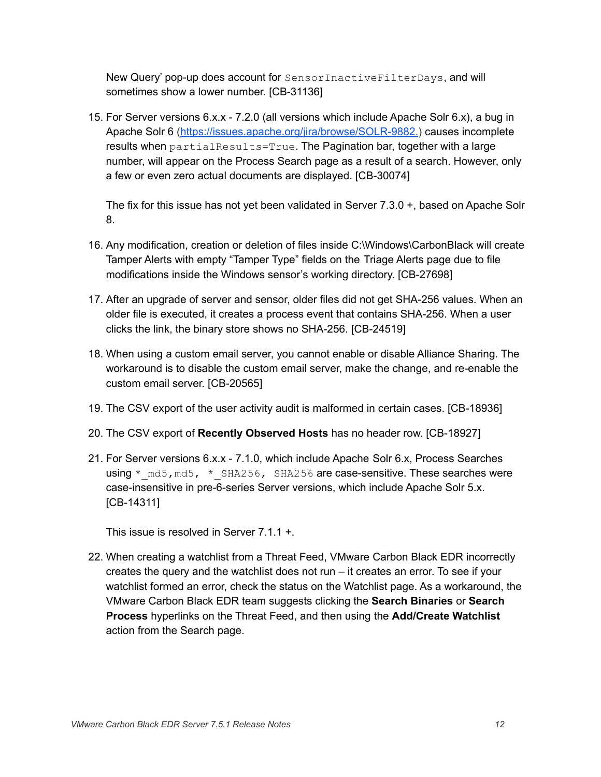New Query' pop-up does account for SensorInactiveFilterDays, and will sometimes show a lower number. [CB-31136]

15. For Server versions 6.x.x - 7.2.0 (all versions which include Apache Solr 6.x), a bug in Apache Solr 6 (<https://issues.apache.org/jira/browse/SOLR-9882.>) causes incomplete results when  $partialResults=True$ . The Pagination bar, together with a large number, will appear on the Process Search page as a result of a search. However, only a few or even zero actual documents are displayed. [CB-30074]

The fix for this issue has not yet been validated in Server 7.3.0 +, based on Apache Solr 8.

- 16. Any modification, creation or deletion of files inside C:\Windows\CarbonBlack will create Tamper Alerts with empty "Tamper Type" fields on the Triage Alerts page due to file modifications inside the Windows sensor's working directory. [CB-27698]
- 17. After an upgrade of server and sensor, older files did not get SHA-256 values. When an older file is executed, it creates a process event that contains SHA-256. When a user clicks the link, the binary store shows no SHA-256. [CB-24519]
- 18. When using a custom email server, you cannot enable or disable Alliance Sharing. The workaround is to disable the custom email server, make the change, and re-enable the custom email server. [CB-20565]
- 19. The CSV export of the user activity audit is malformed in certain cases. [CB-18936]
- 20. The CSV export of **Recently Observed Hosts** has no header row. [CB-18927]
- 21. For Server versions 6.x.x 7.1.0, which include Apache Solr 6.x, Process Searches using  $*$  md5, md5,  $*$  SHA256, SHA256 are case-sensitive. These searches were case-insensitive in pre-6-series Server versions, which include Apache Solr 5.x. [CB-14311]

This issue is resolved in Server 7.1.1 +.

22. When creating a watchlist from a Threat Feed, VMware Carbon Black EDR incorrectly creates the query and the watchlist does not run – it creates an error. To see if your watchlist formed an error, check the status on the Watchlist page. As a workaround, the VMware Carbon Black EDR team suggests clicking the **Search Binaries** or **Search Process** hyperlinks on the Threat Feed, and then using the **Add/Create Watchlist** action from the Search page.